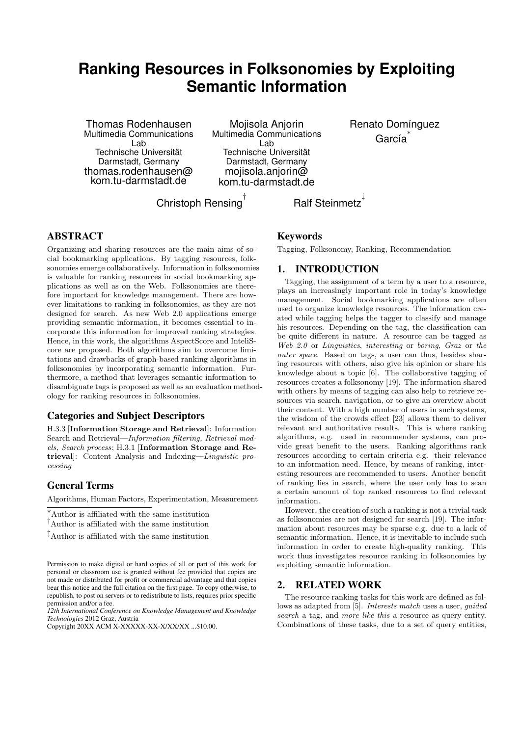# **Ranking Resources in Folksonomies by Exploiting Semantic Information**

Thomas Rodenhausen Multimedia Communications Lab Technische Universität Darmstadt, Germany thomas.rodenhausen@ kom.tu-darmstadt.de

Mojisola Anjorin Multimedia Communications Lab Technische Universität Darmstadt, Germany mojisola.anjorin@ kom.tu-darmstadt.de

Renato Domínguez García ∗

Christoph Rensing $^\dagger$ 

Ralf Steinmetz ‡

## ABSTRACT

Organizing and sharing resources are the main aims of social bookmarking applications. By tagging resources, folksonomies emerge collaboratively. Information in folksonomies is valuable for ranking resources in social bookmarking applications as well as on the Web. Folksonomies are therefore important for knowledge management. There are however limitations to ranking in folksonomies, as they are not designed for search. As new Web 2.0 applications emerge providing semantic information, it becomes essential to incorporate this information for improved ranking strategies. Hence, in this work, the algorithms AspectScore and InteliScore are proposed. Both algorithms aim to overcome limitations and drawbacks of graph-based ranking algorithms in folksonomies by incorporating semantic information. Furthermore, a method that leverages semantic information to disambiguate tags is proposed as well as an evaluation methodology for ranking resources in folksonomies.

## Categories and Subject Descriptors

H.3.3 [Information Storage and Retrieval]: Information Search and Retrieval—Information filtering, Retrieval models, Search process; H.3.1 [Information Storage and Retrieval]: Content Analysis and Indexing—Linguistic processing

#### General Terms

Algorithms, Human Factors, Experimentation, Measurement

## Keywords

Tagging, Folksonomy, Ranking, Recommendation

## 1. INTRODUCTION

Tagging, the assignment of a term by a user to a resource, plays an increasingly important role in today's knowledge management. Social bookmarking applications are often used to organize knowledge resources. The information created while tagging helps the tagger to classify and manage his resources. Depending on the tag, the classification can be quite different in nature. A resource can be tagged as Web 2.0 or Linguistics, interesting or boring, Graz or the outer space. Based on tags, a user can thus, besides sharing resources with others, also give his opinion or share his knowledge about a topic [6]. The collaborative tagging of resources creates a folksonomy [19]. The information shared with others by means of tagging can also help to retrieve resources via search, navigation, or to give an overview about their content. With a high number of users in such systems, the wisdom of the crowds effect [23] allows them to deliver relevant and authoritative results. This is where ranking algorithms, e.g. used in recommender systems, can provide great benefit to the users. Ranking algorithms rank resources according to certain criteria e.g. their relevance to an information need. Hence, by means of ranking, interesting resources are recommended to users. Another benefit of ranking lies in search, where the user only has to scan a certain amount of top ranked resources to find relevant information.

However, the creation of such a ranking is not a trivial task as folksonomies are not designed for search [19]. The information about resources may be sparse e.g. due to a lack of semantic information. Hence, it is inevitable to include such information in order to create high-quality ranking. This work thus investigates resource ranking in folksonomies by exploiting semantic information.

## 2. RELATED WORK

The resource ranking tasks for this work are defined as follows as adapted from [5]. Interests match uses a user, guided search a tag, and more like this a resource as query entity. Combinations of these tasks, due to a set of query entities,

<sup>∗</sup>Author is affiliated with the same institution

 $\uparrow$ Author is affiliated with the same institution

<sup>‡</sup>Author is affiliated with the same institution

Permission to make digital or hard copies of all or part of this work for personal or classroom use is granted without fee provided that copies are not made or distributed for profit or commercial advantage and that copies bear this notice and the full citation on the first page. To copy otherwise, to republish, to post on servers or to redistribute to lists, requires prior specific permission and/or a fee.

*<sup>12</sup>th International Conference on Knowledge Management and Knowledge Technologies* 2012 Graz, Austria

Copyright 20XX ACM X-XXXXX-XX-X/XX/XX ...\$10.00.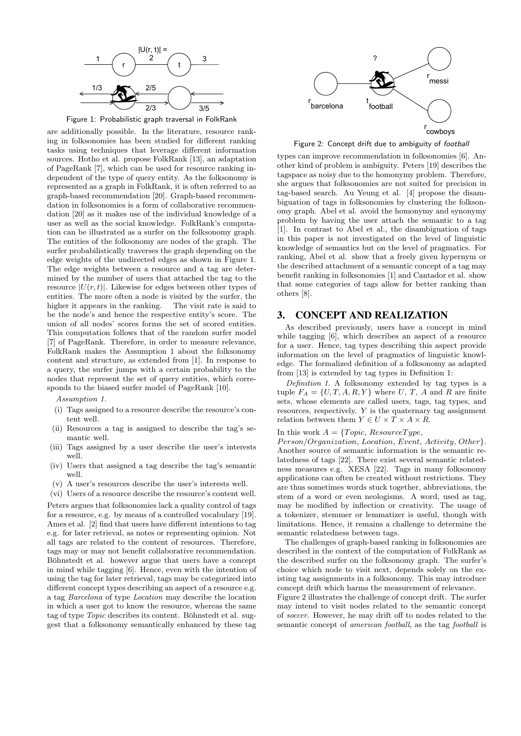

Figure 1: Probabilistic graph traversal in FolkRank

are additionally possible. In the literature, resource ranking in folksonomies has been studied for different ranking tasks using techniques that leverage different information sources. Hotho et al. propose FolkRank [13], an adaptation of PageRank [7], which can be used for resource ranking independent of the type of query entity. As the folksonomy is represented as a graph in FolkRank, it is often referred to as graph-based recommendation [20]. Graph-based recommendation in folksonomies is a form of collaborative recommendation [20] as it makes use of the individual knowledge of a user as well as the social knowledge. FolkRank's computation can be illustrated as a surfer on the folksonomy graph. The entities of the folksonomy are nodes of the graph. The surfer probabilistically traverses the graph depending on the edge weights of the undirected edges as shown in Figure 1. The edge weights between a resource and a tag are determined by the number of users that attached the tag to the resource  $|U(r, t)|$ . Likewise for edges between other types of entities. The more often a node is visited by the surfer, the higher it appears in the ranking. The visit rate is said to be the node's and hence the respective entity's score. The union of all nodes' scores forms the set of scored entities. This computation follows that of the random surfer model [7] of PageRank. Therefore, in order to measure relevance, FolkRank makes the Assumption 1 about the folksonomy content and structure, as extended from [1]. In response to a query, the surfer jumps with a certain probability to the nodes that represent the set of query entities, which corresponds to the biased surfer model of PageRank [10]. gest that a folksonomy semantically enhanced by these tag ?

Assumption 1.

- (i) Tags assigned to a resource describe the resource's content well.
- (ii) Resources a tag is assigned to describe the tag's semantic well.
- (iii) Tags assigned by a user describe the user's interests well.
- (iv) Users that assigned a tag describe the tag's semantic well.
- (v) A user's resources describe the user's interests well.
- (vi) Users of a resource describe the resource's content well.

Peters argues that folksonomies lack a quality control of tags for a resource, e.g. by means of a controlled vocabulary [19]. Ames et al. [2] find that users have different intentions to tag e.g. for later retrieval, as notes or representing opinion. Not all tags are related to the content of resources. Therefore, tags may or may not benefit collaborative recommendation. Böhnstedt et al. however argue that users have a concept in mind while tagging [6]. Hence, even with the intention of using the tag for later retrieval, tags may be categorized into different concept types describing an aspect of a resource e.g. a tag Barcelona of type Location may describe the location in which a user got to know the resource, whereas the same tag of type Topic describes its content. Böhnstedt et al. sug-



Figure 2: Concept drift due to ambiguity of football

types can improve recommendation in folksonomies [6]. Another kind of problem is ambiguity. Peters [19] describes the tagspace as noisy due to the homonymy problem. Therefore, she argues that folksonomies are not suited for precision in tag-based search. Au Yeung et al. [4] propose the disambiguation of tags in folksonomies by clustering the folksonomy graph. Abel et al. avoid the homonymy and synonymy problem by having the user attach the semantic to a tag [1]. In contrast to Abel et al., the disambiguation of tags in this paper is not investigated on the level of linguistic knowledge of semantics but on the level of pragmatics. For ranking, Abel et al. show that a freely given hypernym or the described attachment of a semantic concept of a tag may benefit ranking in folksonomies [1] and Cantador et al. show that some categories of tags allow for better ranking than others [8].

## 3. CONCEPT AND REALIZATION

As described previously, users have a concept in mind while tagging [6], which describes an aspect of a resource for a user. Hence, tag types describing this aspect provide information on the level of pragmatics of linguistic knowledge. The formalized definition of a folksonomy as adapted from [13] is extended by tag types in Definition 1:

Definition 1. A folksonomy extended by tag types is a tuple  $F_A = \{U, T, A, R, Y\}$  where U, T, A and R are finite sets, whose elements are called users, tags, tag types, and resources, respectively. Y is the quaternary tag assignment relation between them  $Y \in U \times T \times A \times R$ .

#### In this work  $A = \{Topic, ResourceType,$

Person/Organization, Location, Event, Activity, Other. Another source of semantic information is the semantic relatedness of tags [22]. There exist several semantic relatedness measures e.g. XESA [22]. Tags in many folksonomy applications can often be created without restrictions. They are thus sometimes words stuck together, abbreviations, the stem of a word or even neologisms. A word, used as tag, may be modified by inflection or creativity. The usage of a tokenizer, stemmer or lemmatizer is useful, though with limitations. Hence, it remains a challenge to determine the semantic relatedness between tags.

The challenges of graph-based ranking in folksonomies are described in the context of the computation of FolkRank as the described surfer on the folksonomy graph. The surfer's choice which node to visit next, depends solely on the existing tag assignments in a folksonomy. This may introduce concept drift which harms the measurement of relevance.

Figure 2 illustrates the challenge of concept drift. The surfer may intend to visit nodes related to the semantic concept of soccer. However, he may drift off to nodes related to the semantic concept of *american football*, as the tag *football* is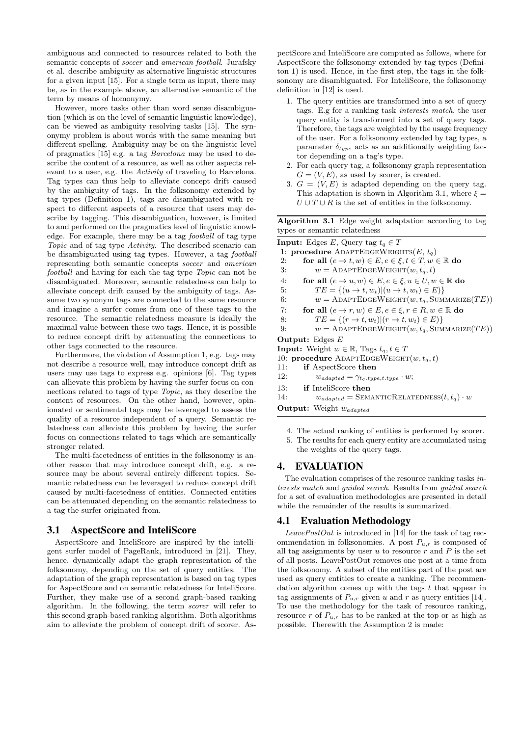ambiguous and connected to resources related to both the semantic concepts of soccer and american football. Jurafsky et al. describe ambiguity as alternative linguistic structures for a given input [15]. For a single term as input, there may be, as in the example above, an alternative semantic of the term by means of homonymy.

However, more tasks other than word sense disambiguation (which is on the level of semantic linguistic knowledge), can be viewed as ambiguity resolving tasks [15]. The synonymy problem is about words with the same meaning but different spelling. Ambiguity may be on the linguistic level of pragmatics [15] e.g. a tag Barcelona may be used to describe the content of a resource, as well as other aspects relevant to a user, e.g. the Activity of traveling to Barcelona. Tag types can thus help to alleviate concept drift caused by the ambiguity of tags. In the folksonomy extended by tag types (Definition 1), tags are disambiguated with respect to different aspects of a resource that users may describe by tagging. This disambiguation, however, is limited to and performed on the pragmatics level of linguistic knowledge. For example, there may be a tag football of tag type Topic and of tag type Activity. The described scenario can be disambiguated using tag types. However, a tag football representing both semantic concepts soccer and american football and having for each the tag type Topic can not be disambiguated. Moreover, semantic relatedness can help to alleviate concept drift caused by the ambiguity of tags. Assume two synonym tags are connected to the same resource and imagine a surfer comes from one of these tags to the resource. The semantic relatedness measure is ideally the maximal value between these two tags. Hence, it is possible to reduce concept drift by attenuating the connections to other tags connected to the resource.

Furthermore, the violation of Assumption 1, e.g. tags may not describe a resource well, may introduce concept drift as users may use tags to express e.g. opinions [6]. Tag types can allievate this problem by having the surfer focus on connections related to tags of type Topic, as they describe the content of resources. On the other hand, however, opinionated or sentimental tags may be leveraged to assess the quality of a resource independent of a query. Semantic relatedness can alleviate this problem by having the surfer focus on connections related to tags which are semantically stronger related.

The multi-facetedness of entities in the folksonomy is another reason that may introduce concept drift, e.g. a resource may be about several entirely different topics. Semantic relatedness can be leveraged to reduce concept drift caused by multi-facetedness of entities. Connected entities can be attenuated depending on the semantic relatedness to a tag the surfer originated from.

#### 3.1 AspectScore and InteliScore

AspectScore and InteliScore are inspired by the intelligent surfer model of PageRank, introduced in [21]. They, hence, dynamically adapt the graph representation of the folksonomy, depending on the set of query entities. The adaptation of the graph representation is based on tag types for AspectScore and on semantic relatedness for InteliScore. Further, they make use of a second graph-based ranking algorithm. In the following, the term scorer will refer to this second graph-based ranking algorithm. Both algorithms aim to alleviate the problem of concept drift of scorer. As-

pectScore and InteliScore are computed as follows, where for AspectScore the folksonomy extended by tag types (Definiton 1) is used. Hence, in the first step, the tags in the folksonomy are disambiguated. For InteliScore, the folksonomy definition in [12] is used.

- 1. The query entities are transformed into a set of query tags. E.g for a ranking task interests match, the user query entity is transformed into a set of query tags. Therefore, the tags are weighted by the usage frequency of the user. For a folksonomy extended by tag types, a parameter  $\delta_{type}$  acts as an additionally weighting factor depending on a tag's type.
- 2. For each query tag, a folksonomy graph representation  $G = (V, E)$ , as used by scorer, is created.
- 3.  $G = (V, E)$  is adapted depending on the query tag. This adaptation is shown in Algorithm 3.1, where  $\xi =$  $U \cup T \cup R$  is the set of entities in the folksonomy.

Algorithm 3.1 Edge weight adaptation according to tag types or semantic relatedness

| <b>Input:</b> Edges E, Query tag $t_q \in T$                                        |
|-------------------------------------------------------------------------------------|
| 1: <b>procedure</b> ADAPTEDGEWEIGHTS $(E, t_q)$                                     |
| for all $(e \rightarrow t, w) \in E, e \in \xi, t \in T, w \in \mathbb{R}$ do<br>2: |
| $w =$ ADAPTEDGEWEIGHT $(w, t_q, t)$<br>3:                                           |
| for all $(e \rightarrow u, w) \in E, e \in \xi, u \in U, w \in \mathbb{R}$ do<br>4: |
| $TE = \{(u \rightarrow t, w_t) (u \rightarrow t, w_t) \in E)\}\$<br>5:              |
| $w =$ ADAPTEDGEWEIGHT $(w, t_q,$ SUMMARIZE $(TE))$<br>6:                            |
| 7:<br>for all $(e \rightarrow r, w) \in E, e \in \xi, r \in R, w \in \mathbb{R}$ do |
| $TE = \{(r \rightarrow t, w_t)   (r \rightarrow t, w_t) \in E) \}$<br>8:            |
| $w =$ ADAPTEDGEWEIGHT $(w, t_a,$ SUMMARIZE $(TE))$<br>9:                            |
| <b>Output:</b> Edges $E$                                                            |
| <b>Input:</b> Weight $w \in \mathbb{R}$ , Tags $t_a, t \in T$                       |
| 10: <b>procedure</b> ADAPTEDGEWEIGHT $(w, t_q, t)$                                  |
| <b>if</b> AspectScore then<br>11:                                                   |
| 12:<br>$w_{adapted} = \gamma_{t_a. type, t. type} \cdot w;$                         |
| <b>if</b> InteliScore then<br>13:                                                   |
| $w_{adapted} = \text{SEMANTICRELATEDNESS}(t, t_q) \cdot w$<br>14:                   |
| <b>Output:</b> Weight $w_{adapted}$                                                 |

- 
- 4. The actual ranking of entities is performed by scorer.
- 5. The results for each query entity are accumulated using the weights of the query tags.

## 4. EVALUATION

The evaluation comprises of the resource ranking tasks interests match and guided search. Results from guided search for a set of evaluation methodologies are presented in detail while the remainder of the results is summarized.

## 4.1 Evaluation Methodology

 $LeavePostOut$  is introduced in [14] for the task of tag recommendation in folksonomies. A post  $P_{u,r}$  is composed of all tag assignments by user  $u$  to resource  $r$  and  $P$  is the set of all posts. LeavePostOut removes one post at a time from the folksonomy. A subset of the entities part of the post are used as query entities to create a ranking. The recommendation algorithm comes up with the tags  $t$  that appear in tag assignments of  $P_{u,r}$  given u and r as query entities [14]. To use the methodology for the task of resource ranking, resource r of  $P_{u,r}$  has to be ranked at the top or as high as possible. Therewith the Assumption 2 is made: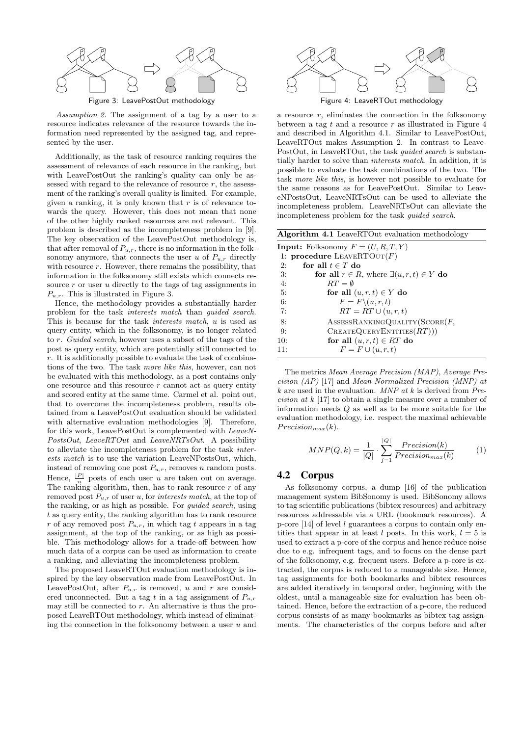

Assumption 2. The assignment of a tag by a user to a resource indicates relevance of the resource towards the information need represented by the assigned tag, and represented by the user.

Additionally, as the task of resource ranking requires the assessment of relevance of each resource in the ranking, but with LeavePostOut the ranking's quality can only be assessed with regard to the relevance of resource  $r$ , the assessment of the ranking's overall quality is limited. For example, given a ranking, it is only known that  $r$  is of relevance towards the query. However, this does not mean that none of the other highly ranked resources are not relevant. This problem is described as the incompleteness problem in [9]. The key observation of the LeavePostOut methodology is, that after removal of  $P_{u,r}$ , there is no information in the folksonomy anymore, that connects the user u of  $P_{u,r}$  directly with resource  $r$ . However, there remains the possibility, that information in the folksonomy still exists which connects resource  $r$  or user  $u$  directly to the tags of tag assignments in  $P_{u,r}$ . This is illustrated in Figure 3.

Hence, the methodology provides a substantially harder problem for the task interests match than guided search. This is because for the task *interests match*, u is used as query entity, which in the folksonomy, is no longer related to r. Guided search, however uses a subset of the tags of the post as query entity, which are potentially still connected to  $r$ . It is additionally possible to evaluate the task of combinations of the two. The task more like this, however, can not be evaluated with this methodology, as a post contains only one resource and this resource  $r$  cannot act as query entity and scored entity at the same time. Carmel et al. point out, that to overcome the incompleteness problem, results obtained from a LeavePostOut evaluation should be validated with alternative evaluation methodologies [9]. Therefore, for this work, LeavePostOut is complemented with LeaveN-PostsOut, LeaveRTOut and LeaveNRTsOut. A possibility to alleviate the incompleteness problem for the task interests match is to use the variation LeaveNPostsOut, which, instead of removing one post  $P_{u,r}$ , removes n random posts. Hence,  $\frac{|P|}{n}$  posts of each user u are taken out on average. The ranking algorithm, then, has to rank resource  $r$  of any removed post  $P_{u,r}$  of user u, for interests match, at the top of the ranking, or as high as possible. For guided search, using t as query entity, the ranking algorithm has to rank resource r of any removed post  $P_{u,r}$ , in which tag t appears in a tag assignment, at the top of the ranking, or as high as possible. This methodology allows for a trade-off between how much data of a corpus can be used as information to create a ranking, and alleviating the incompleteness problem.

The proposed LeaveRTOut evaluation methodology is inspired by the key observation made from LeavePostOut. In LeavePostOut, after  $P_{u,r}$  is removed, u and r are considered unconnected. But a tag t in a tag assignment of  $P_{u,r}$ may still be connected to  $r$ . An alternative is thus the proposed LeaveRTOut methodology, which instead of eliminating the connection in the folksonomy between a user  $u$  and



Figure 4: LeaveRTOut methodology

a resource  $r$ , eliminates the connection in the folksonomy between a tag  $t$  and a resource  $r$  as illustrated in Figure 4 and described in Algorithm 4.1. Similar to LeavePostOut, LeaveRTOut makes Assumption 2. In contrast to Leave-PostOut, in LeaveRTOut, the task guided search is substantially harder to solve than interests match. In addition, it is possible to evaluate the task combinations of the two. The task more like this, is however not possible to evaluate for the same reasons as for LeavePostOut. Similar to LeaveNPostsOut, LeaveNRTsOut can be used to alleviate the incompleteness problem. LeaveNRTsOut can alleviate the incompleteness problem for the task guided search.

| <b>Algorithm 4.1</b> LeaveRTOut evaluation methodology       |
|--------------------------------------------------------------|
| <b>Input:</b> Folksonomy $F = (U, R, T, Y)$                  |
| 1: procedure LEAVERTOUT( $F$ )                               |
| 2:<br>for all $t \in T$ do                                   |
| 3:<br>for all $r \in R$ , where $\exists (u, r, t) \in Y$ do |
| $RT = \emptyset$<br>4:                                       |
| 5:<br>for all $(u, r, t) \in Y$ do                           |
| $F = F \setminus (u, r, t)$<br>6:                            |
| $RT = RT \cup (u, r, t)$<br>7:                               |
| AssessRankINGQUALITY(SconeF,<br>8:                           |
| CREATEQUERYENTITIES(RT)))<br>9:                              |
| for all $(u, r, t) \in RT$ do<br>10:                         |
| $F = F \cup (u, r, t)$<br>11:                                |

The metrics Mean Average Precision (MAP), Average Precision (AP) [17] and Mean Normalized Precision (MNP) at  $k$  are used in the evaluation. MNP at  $k$  is derived from Precision at k [17] to obtain a single measure over a number of information needs Q as well as to be more suitable for the evaluation methodology, i.e. respect the maximal achievable  $Precision_{max}(k)$ .

$$
MNP(Q,k) = \frac{1}{|Q|} \cdot \sum_{j=1}^{|Q|} \frac{Precision(k)}{Precision_{max}(k)} \tag{1}
$$

## 4.2 Corpus

As folksonomy corpus, a dump [16] of the publication management system BibSonomy is used. BibSonomy allows to tag scientific publications (bibtex resources) and arbitrary resources addressable via a URL (bookmark resources). A p-core  $[14]$  of level l guarantees a corpus to contain only entities that appear in at least l posts. In this work,  $l = 5$  is used to extract a p-core of the corpus and hence reduce noise due to e.g. infrequent tags, and to focus on the dense part of the folksonomy, e.g. frequent users. Before a p-core is extracted, the corpus is reduced to a manageable size. Hence, tag assignments for both bookmarks and bibtex resources are added iteratively in temporal order, beginning with the oldest, until a manageable size for evaluation has been obtained. Hence, before the extraction of a p-core, the reduced corpus consists of as many bookmarks as bibtex tag assignments. The characteristics of the corpus before and after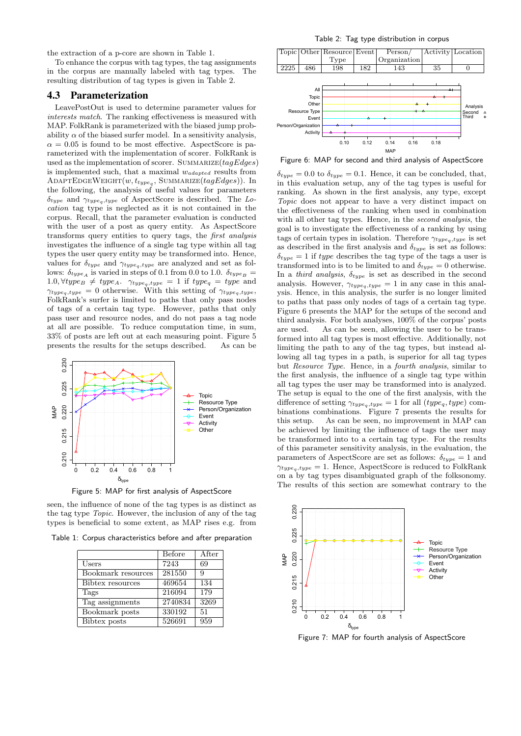the extraction of a p-core are shown in Table 1.

To enhance the corpus with tag types, the tag assignments in the corpus are manually labeled with tag types. The resulting distribution of tag types is given in Table 2.

#### 4.3 Parameterization

LeavePostOut is used to determine parameter values for interests match. The ranking effectiveness is measured with MAP. FolkRank is parameterized with the biased jump probability  $\alpha$  of the biased surfer model. In a sensitivity analysis,  $\alpha = 0.05$  is found to be most effective. AspectScore is parameterized with the implementation of scorer. FolkRank is used as the implementation of scorer. SUMMARIZE $(tagEdges)$ is implemented such, that a maximal  $w_{adapted}$  results from  $\text{ADAPTEDGEWEIGHT}(w, t_{type_q}, \text{SUMMARIZE}(tagEdges)).$  In the following, the analysis of useful values for parameters  $\delta_{type}$  and  $\gamma_{type_q,type}$  of AspectScore is described. The Location tag type is neglected as it is not contained in the corpus. Recall, that the parameter evaluation is conducted with the user of a post as query entity. As AspectScore transforms query entities to query tags, the first analysis investigates the influence of a single tag type within all tag types the user query entity may be transformed into. Hence, values for  $\delta_{type}$  and  $\gamma_{type_q,type}$  are analyzed and set as follows:  $\delta_{type_A}$  is varied in steps of 0.1 from 0.0 to 1.0.  $\delta_{type_B}$  = 1.0,  $\forall type_B \ne type_A$ .  $\gamma type_q, type = 1$  if  $type_q = type$  and  $\gamma_{type_q,type} = 0$  otherwise. With this setting of  $\gamma_{type_q,type}$ , FolkRank's surfer is limited to paths that only pass nodes of tags of a certain tag type. However, paths that only pass user and resource nodes, and do not pass a tag node at all are possible. To reduce computation time, in sum, 33% of posts are left out at each measuring point. Figure 5 presents the results for the setups described. As can be



Figure 5: MAP for first analysis of AspectScore

seen, the influence of none of the tag types is as distinct as the tag type Topic. However, the inclusion of any of the tag types is beneficial to some extent, as MAP rises e.g. from

Table 1: Corpus characteristics before and after preparation

|                    | <b>Before</b> | After |
|--------------------|---------------|-------|
| Users              | 7243          | 69    |
| Bookmark resources | 281550        | 9     |
| Bibtex resources   | 469654        | 134   |
| Tags               | 216094        | 179   |
| Tag assignments    | 2740834       | 3269  |
| Bookmark posts     | 330192        | 51    |
| Bibtex posts       | 526691        | 959   |



Figure 6: MAP for second and third analysis of AspectScore

 $\delta_{type} = 0.0$  to  $\delta_{type} = 0.1$ . Hence, it can be concluded, that, in this evaluation setup, any of the tag types is useful for ranking. As shown in the first analysis, any type, except Topic does not appear to have a very distinct impact on the effectiveness of the ranking when used in combination with all other tag types. Hence, in the second analysis, the goal is to investigate the effectiveness of a ranking by using tags of certain types in isolation. Therefore  $\gamma_{type_q,type}$  is set as described in the first analysis and  $\delta_{type}$  is set as follows:  $\delta_{type} = 1$  if type describes the tag type of the tags a user is transformed into is to be limited to and  $\delta_{type} = 0$  otherwise. In a third analysis,  $\delta_{true}$  is set as described in the second analysis. However,  $\gamma_{type_a,type} = 1$  in any case in this analysis. Hence, in this analysis, the surfer is no longer limited to paths that pass only nodes of tags of a certain tag type. Figure 6 presents the MAP for the setups of the second and third analysis. For both analyses, 100% of the corpus' posts are used. As can be seen, allowing the user to be transformed into all tag types is most effective. Additionally, not limiting the path to any of the tag types, but instead allowing all tag types in a path, is superior for all tag types but Resource Type. Hence, in a fourth analysis, similar to the first analysis, the influence of a single tag type within all tag types the user may be transformed into is analyzed. The setup is equal to the one of the first analysis, with the difference of setting  $\gamma_{type_q,type} = 1$  for all  $(type_q,type)$  combinations combinations. Figure 7 presents the results for this setup. As can be seen, no improvement in MAP can be achieved by limiting the influence of tags the user may be transformed into to a certain tag type. For the results of this parameter sensitivity analysis, in the evaluation, the parameters of AspectScore are set as follows:  $\delta_{type} = 1$  and  $\gamma_{type_q, type} = 1$ . Hence, AspectScore is reduced to FolkRank on a by tag types disambiguated graph of the folksonomy. The results of this section are somewhat contrary to the



Figure 7: MAP for fourth analysis of AspectScore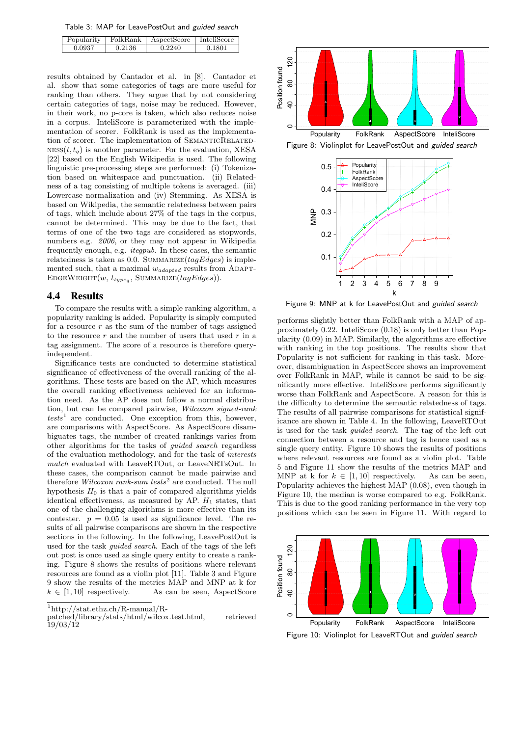Table 3: MAP for LeavePostOut and guided search

| Popularity | FolkRank | AspectScore | InteliScore |
|------------|----------|-------------|-------------|
| 0.0937     | 0.2136   | 0.2240      | 0.1801      |

results obtained by Cantador et al. in [8]. Cantador et al. show that some categories of tags are more useful for ranking than others. They argue that by not considering certain categories of tags, noise may be reduced. However, in their work, no p-core is taken, which also reduces noise in a corpus. InteliScore is parameterized with the implementation of scorer. FolkRank is used as the implementation of scorer. The implementation of SEMANTICRELATED- $NESS(t, t_q)$  is another parameter. For the evaluation, XESA [22] based on the English Wikipedia is used. The following linguistic pre-processing steps are performed: (i) Tokenization based on whitespace and punctuation. (ii) Relatedness of a tag consisting of multiple tokens is averaged. (iii) Lowercase normalization and (iv) Stemming. As XESA is based on Wikipedia, the semantic relatedness between pairs of tags, which include about 27% of the tags in the corpus, cannot be determined. This may be due to the fact, that terms of one of the two tags are considered as stopwords, numbers e.g. 2006, or they may not appear in Wikipedia frequently enough, e.g. itegpub. In these cases, the semantic relatedness is taken as 0.0. SUMMARIZE $(tagEdges)$  is implemented such, that a maximal  $w_{adapted}$  results from ADAPT- $E$ DGEWEIGHT $(w, t_{type_q},$  SUMMARIZE $(tagEdges)$ ).

#### 4.4 Results

To compare the results with a simple ranking algorithm, a popularity ranking is added. Popularity is simply computed for a resource  $r$  as the sum of the number of tags assigned to the resource  $r$  and the number of users that used  $r$  in a tag assignment. The score of a resource is therefore queryindependent.

Significance tests are conducted to determine statistical significance of effectiveness of the overall ranking of the algorithms. These tests are based on the AP, which measures the overall ranking effectiveness achieved for an information need. As the AP does not follow a normal distribution, but can be compared pairwise, Wilcoxon signed-rank  $tests<sup>1</sup>$  are conducted. One exception from this, however, are comparisons with AspectScore. As AspectScore disambiguates tags, the number of created rankings varies from other algorithms for the tasks of guided search regardless of the evaluation methodology, and for the task of interests match evaluated with LeaveRTOut, or LeaveNRTsOut. In these cases, the comparison cannot be made pairwise and therefore *Wilcoxon rank-sum tests*<sup>2</sup> are conducted. The null hypothesis  $H_0$  is that a pair of compared algorithms yields identical effectiveness, as measured by AP.  $H_1$  states, that one of the challenging algorithms is more effective than its contester.  $p = 0.05$  is used as significance level. The results of all pairwise comparisons are shown in the respective sections in the following. In the following, LeavePostOut is used for the task guided search. Each of the tags of the left out post is once used as single query entity to create a ranking. Figure 8 shows the results of positions where relevant resources are found as a violin plot [11]. Table 3 and Figure 9 show the results of the metrics MAP and MNP at k for  $k \in [1, 10]$  respectively. As can be seen, AspectScore



Figure 8: Violinplot for LeavePostOut and guided search



Figure 9: MNP at k for LeavePostOut and *guided search* 

performs slightly better than FolkRank with a MAP of approximately 0.22. InteliScore (0.18) is only better than Popularity (0.09) in MAP. Similarly, the algorithms are effective with ranking in the top positions. The results show that Popularity is not sufficient for ranking in this task. Moreover, disambiguation in AspectScore shows an improvement over FolkRank in MAP, while it cannot be said to be significantly more effective. InteliScore performs significantly worse than FolkRank and AspectScore. A reason for this is the difficulty to determine the semantic relatedness of tags. The results of all pairwise comparisons for statistical significance are shown in Table 4. In the following, LeaveRTOut is used for the task guided search. The tag of the left out connection between a resource and tag is hence used as a single query entity. Figure 10 shows the results of positions where relevant resources are found as a violin plot. Table 5 and Figure 11 show the results of the metrics MAP and MNP at k for  $k \in [1, 10]$  respectively. As can be seen, Popularity achieves the highest MAP (0.08), even though in Figure 10, the median is worse compared to e.g. FolkRank. This is due to the good ranking performance in the very top positions which can be seen in Figure 11. With regard to



Figure 10: Violinplot for LeaveRTOut and guided search

<sup>1</sup>http://stat.ethz.ch/R-manual/R-

patched/library/stats/html/wilcox.test.html, retrieved 19/03/12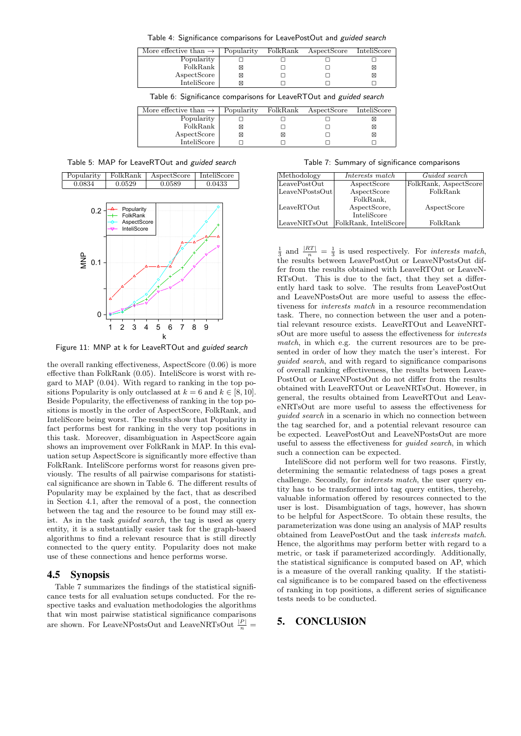Table 4: Significance comparisons for LeavePostOut and guided search

| More effective than $\rightarrow$ | Popularity | FolkRank | AspectScore | InteliScore |
|-----------------------------------|------------|----------|-------------|-------------|
| Popularity                        |            |          |             |             |
| FolkRank                          | ⊠          |          |             | ⊠           |
| AspectScore                       | ⊠          |          |             | ⊠           |
| InteliScore                       | ⊠          |          |             |             |

Table 6: Significance comparisons for LeaveRTOut and guided search

| More effective than $\rightarrow$ | Popularity | FolkRank | AspectScore | InteliScore |
|-----------------------------------|------------|----------|-------------|-------------|
| Popularity                        |            |          |             |             |
| FolkRank                          | ⊠          |          |             | ⊠           |
| AspectScore                       | ⊠          | ⊠        |             | ⊠           |
| InteliScore                       |            |          |             |             |

Table 5: MAP for LeaveRTOut and guided search



Figure 11: MNP at k for LeaveRTOut and guided search

the overall ranking effectiveness, AspectScore (0.06) is more effective than FolkRank (0.05). InteliScore is worst with regard to MAP (0.04). With regard to ranking in the top positions Popularity is only outclassed at  $k = 6$  and  $k \in [8, 10]$ . Beside Popularity, the effectiveness of ranking in the top positions is mostly in the order of AspectScore, FolkRank, and InteliScore being worst. The results show that Popularity in fact performs best for ranking in the very top positions in this task. Moreover, disambiguation in AspectScore again shows an improvement over FolkRank in MAP. In this evaluation setup AspectScore is significantly more effective than FolkRank. InteliScore performs worst for reasons given previously. The results of all pairwise comparisons for statistical significance are shown in Table 6. The different results of Popularity may be explained by the fact, that as described in Section 4.1, after the removal of a post, the connection between the tag and the resource to be found may still exist. As in the task guided search, the tag is used as query entity, it is a substantially easier task for the graph-based algorithms to find a relevant resource that is still directly connected to the query entity. Popularity does not make use of these connections and hence performs worse.

## 4.5 Synopsis

Table 7 summarizes the findings of the statistical significance tests for all evaluation setups conducted. For the respective tasks and evaluation methodologies the algorithms that win most pairwise statistical significance comparisons are shown. For LeaveNPostsOut and LeaveNRTsOut  $\frac{|P|}{n}$  =

Table 7: Summary of significance comparisons

| Methodology    | $Interests \ match$   | Guided search         |
|----------------|-----------------------|-----------------------|
| LeavePostOut   | AspectScore           | FolkRank, AspectScore |
| LeaveNPostsOut | AspectScore           | FolkRank              |
|                | FolkRank,             |                       |
| LeaveRTOut     | AspectScore,          | AspectScore           |
|                | InteliScore           |                       |
| LeaveNRTsOut   | FolkRank, InteliScore | FolkRank              |

 $\frac{1}{3}$  and  $\frac{|RT|}{n} = \frac{1}{3}$  is used respectively. For *interests match*, the results between LeavePostOut or LeaveNPostsOut differ from the results obtained with LeaveRTOut or LeaveN-RTsOut. This is due to the fact, that they set a differently hard task to solve. The results from LeavePostOut and LeaveNPostsOut are more useful to assess the effectiveness for interests match in a resource recommendation task. There, no connection between the user and a potential relevant resource exists. LeaveRTOut and LeaveNRTsOut are more useful to assess the effectiveness for interests match, in which e.g. the current resources are to be presented in order of how they match the user's interest. For guided search, and with regard to significance comparisons of overall ranking effectiveness, the results between Leave-PostOut or LeaveNPostsOut do not differ from the results obtained with LeaveRTOut or LeaveNRTsOut. However, in general, the results obtained from LeaveRTOut and LeaveNRTsOut are more useful to assess the effectiveness for guided search in a scenario in which no connection between the tag searched for, and a potential relevant resource can be expected. LeavePostOut and LeaveNPostsOut are more useful to assess the effectiveness for guided search, in which such a connection can be expected.

InteliScore did not perform well for two reasons. Firstly, determining the semantic relatedness of tags poses a great challenge. Secondly, for *interests match*, the user query entity has to be transformed into tag query entities, thereby, valuable information offered by resources connected to the user is lost. Disambiguation of tags, however, has shown to be helpful for AspectScore. To obtain these results, the parameterization was done using an analysis of MAP results obtained from LeavePostOut and the task interests match. Hence, the algorithms may perform better with regard to a metric, or task if parameterized accordingly. Additionally, the statistical significance is computed based on AP, which is a measure of the overall ranking quality. If the statistical significance is to be compared based on the effectiveness of ranking in top positions, a different series of significance tests needs to be conducted.

## 5. CONCLUSION